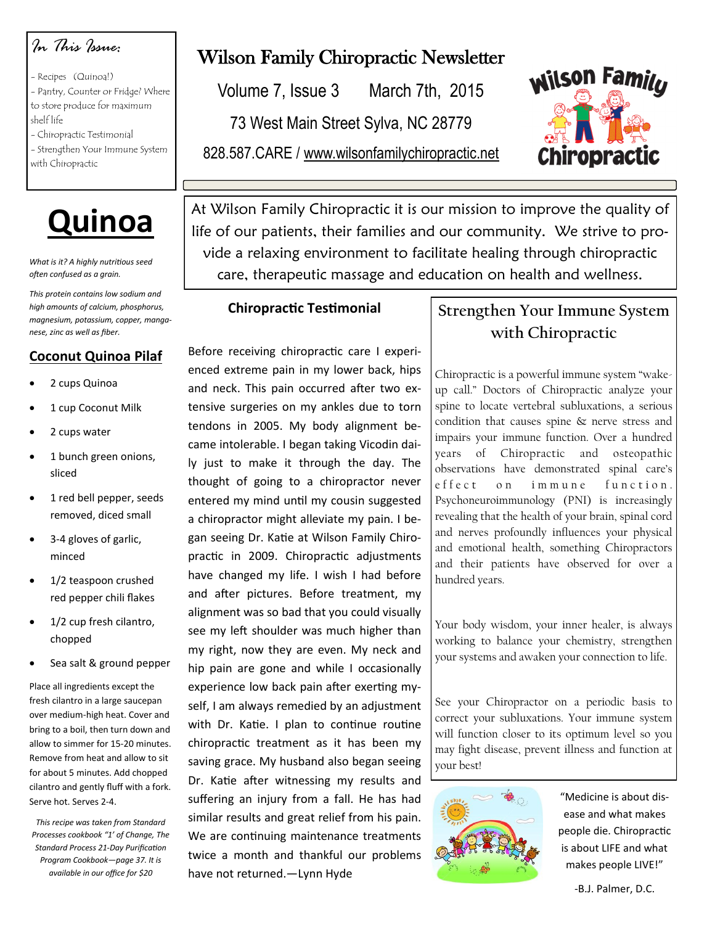## *In This Issue:*

- Recipes (Quinoa!)

- Pantry, Counter or Fridge? Where to store produce for maximum shelf life
- Chiropractic Testimonial - Strengthen Your Immune System with Chiropractic



*What is it? A highly nutritious seed often confused as a grain.* 

*This protein contains low sodium and high amounts of calcium, phosphorus, magnesium, potassium, copper, manganese, zinc as well as fiber.*

### **Coconut Quinoa Pilaf**

- 2 cups Quinoa
- 1 cup Coconut Milk
- 2 cups water
- 1 bunch green onions, sliced
- 1 red bell pepper, seeds removed, diced small
- 3-4 gloves of garlic, minced
- 1/2 teaspoon crushed red pepper chili flakes
- 1/2 cup fresh cilantro, chopped
- Sea salt & ground pepper

Place all ingredients except the fresh cilantro in a large saucepan over medium-high heat. Cover and bring to a boil, then turn down and allow to simmer for 15-20 minutes. Remove from heat and allow to sit for about 5 minutes. Add chopped cilantro and gently fluff with a fork. Serve hot. Serves 2-4.

*This recipe was taken from Standard Processes cookbook "1' of Change, The Standard Process 21-Day Purification Program Cookbook—page 37. It is available in our office for \$20*

# Wilson Family Chiropractic Newsletter

Volume 7, Issue 3 March 7th, 2015

73 West Main Street Sylva, NC 28779

828.587.CARE / www.wilsonfamilychiropractic.net



At Wilson Family Chiropractic it is our mission to improve the quality of life of our patients, their families and our community. We strive to provide a relaxing environment to facilitate healing through chiropractic care, therapeutic massage and education on health and wellness.

#### **Chiropractic Testimonial**

Before receiving chiropractic care I experienced extreme pain in my lower back, hips and neck. This pain occurred after two extensive surgeries on my ankles due to torn tendons in 2005. My body alignment became intolerable. I began taking Vicodin daily just to make it through the day. The thought of going to a chiropractor never entered my mind until my cousin suggested a chiropractor might alleviate my pain. I began seeing Dr. Katie at Wilson Family Chiropractic in 2009. Chiropractic adjustments have changed my life. I wish I had before and after pictures. Before treatment, my alignment was so bad that you could visually see my left shoulder was much higher than my right, now they are even. My neck and hip pain are gone and while I occasionally experience low back pain after exerting myself, I am always remedied by an adjustment with Dr. Katie. I plan to continue routine chiropractic treatment as it has been my saving grace. My husband also began seeing Dr. Katie after witnessing my results and suffering an injury from a fall. He has had similar results and great relief from his pain. We are continuing maintenance treatments twice a month and thankful our problems have not returned.—Lynn Hyde

## **Strengthen Your Immune System with Chiropractic**

Chiropractic is a powerful immune system "wakeup call." Doctors of Chiropractic analyze your spine to locate vertebral subluxations, a serious condition that causes spine & nerve stress and impairs your immune function. Over a hundred years of Chiropractic and osteopathic observations have demonstrated spinal care's effect on immune function. Psychoneuroimmunology (PNI) is increasingly revealing that the health of your brain, spinal cord and nerves profoundly influences your physical and emotional health, something Chiropractors and their patients have observed for over a hundred years.

Your body wisdom, your inner healer, is always working to balance your chemistry, strengthen your systems and awaken your connection to life.

See your Chiropractor on a periodic basis to correct your subluxations. Your immune system will function closer to its optimum level so you may fight disease, prevent illness and function at your best!



"Medicine is about disease and what makes people die. Chiropractic is about LIFE and what makes people LIVE!"